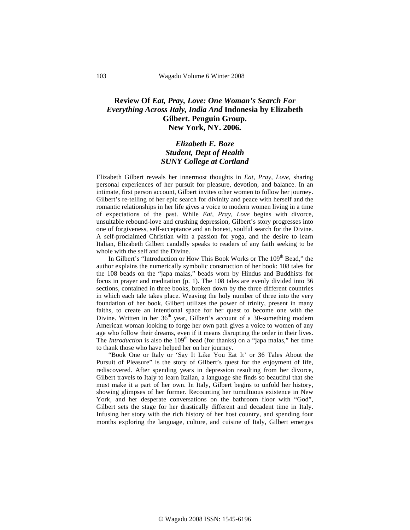## **Review Of** *Eat, Pray, Love: One Woman's Search For Everything Across Italy, India And* **Indonesia by Elizabeth Gilbert. Penguin Group. New York, NY. 2006.**

## *Elizabeth E. Boze Student, Dept of Health SUNY College at Cortland*

Elizabeth Gilbert reveals her innermost thoughts in *Eat, Pray, Love*, sharing personal experiences of her pursuit for pleasure, devotion, and balance. In an intimate, first person account, Gilbert invites other women to follow her journey. Gilbert's re-telling of her epic search for divinity and peace with herself and the romantic relationships in her life gives a voice to modern women living in a time of expectations of the past. While *Eat, Pray, Love* begins with divorce, unsuitable rebound-love and crushing depression, Gilbert's story progresses into one of forgiveness, self-acceptance and an honest, soulful search for the Divine. A self-proclaimed Christian with a passion for yoga, and the desire to learn Italian, Elizabeth Gilbert candidly speaks to readers of any faith seeking to be whole with the self and the Divine.

In Gilbert's "Introduction or How This Book Works or The 109<sup>th</sup> Bead," the author explains the numerically symbolic construction of her book: 108 tales for the 108 beads on the "japa malas," beads worn by Hindus and Buddhists for focus in prayer and meditation (p. 1). The 108 tales are evenly divided into 36 sections, contained in three books, broken down by the three different countries in which each tale takes place. Weaving the holy number of three into the very foundation of her book, Gilbert utilizes the power of trinity, present in many faiths, to create an intentional space for her quest to become one with the Divine. Written in her 36<sup>th</sup> year, Gilbert's account of a 30-something modern American woman looking to forge her own path gives a voice to women of any age who follow their dreams, even if it means disrupting the order in their lives. The *Introduction* is also the  $109<sup>th</sup>$  bead (for thanks) on a "japa malas," her time to thank those who have helped her on her journey.

"Book One or Italy or 'Say It Like You Eat It' or 36 Tales About the Pursuit of Pleasure" is the story of Gilbert's quest for the enjoyment of life, rediscovered. After spending years in depression resulting from her divorce, Gilbert travels to Italy to learn Italian, a language she finds so beautiful that she must make it a part of her own. In Italy, Gilbert begins to unfold her history, showing glimpses of her former. Recounting her tumultuous existence in New York, and her desperate conversations on the bathroom floor with "God", Gilbert sets the stage for her drastically different and decadent time in Italy. Infusing her story with the rich history of her host country, and spending four months exploring the language, culture, and cuisine of Italy, Gilbert emerges